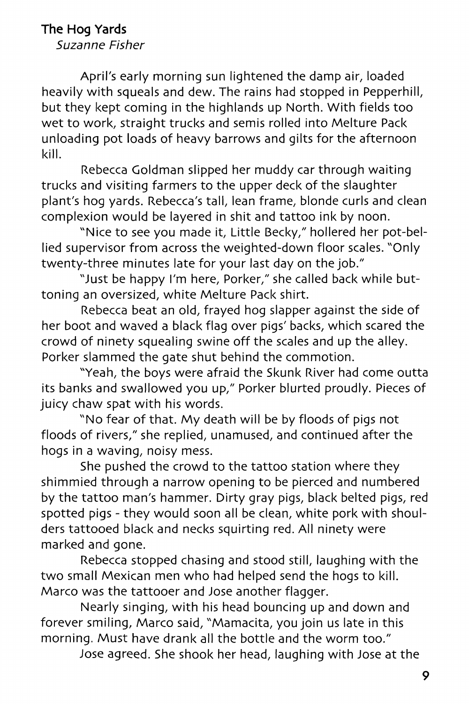## **The Hog Yards**

Suzanne Fisher

April's early morning sun lightened the damp air, loaded heavily with squeals and dew. The rains had stopped in Pepperhill, but they kept coming in the highlands up North. With fields too wet to work, straight trucks and semis rolled into Melture Pack unloading pot loads of heavy barrows and gilts for the afternoon kill.

Rebecca Goldman slipped her muddy car through waiting trucks and visiting farmers to the upper deck of the slaughter plant's hog yards. Rebecca's tall, lean frame, blonde curls and clean complexion would be layered in shit and tattoo ink by noon.

"Nice to see you made it, Little Becky," hollered her pot-bellied supervisor from across the weighted-down floor scales. "Only twenty-three minutes late for your last day on the job."

"Just be happy I'm here, Porker," she called back while buttoning an oversized, white Melture Pack shirt.

Rebecca beat an old, frayed hog slapper against the side of her boot and waved a black flag over pigs' backs, which scared the crowd of ninety squealing swine off the scales and up the alley. Porker slammed the gate shut behind the commotion.

"Yeah, the boys were afraid the Skunk River had come outta its banks and swallowed you up," Porker blurted proudly. Pieces of juicy chaw spat with his words.

"No fear of that. My death will be by floods of pigs not floods of rivers," she replied, unamused, and continued after the hogs in a waving, noisy mess.

She pushed the crowd to the tattoo station where they shimmied through a narrow opening to be pierced and numbered by the tattoo man's hammer. Dirty gray pigs, black belted pigs, red spotted pigs - they would soon all be clean, white pork with shoulders tattooed black and necks squirting red. All ninety were marked and gone.

Rebecca stopped chasing and stood still, laughing with the two small Mexican men who had helped send the hogs to kill. Marco was the tattooer and Jose another flagger.

Nearly singing, with his head bouncing up and down and forever smiling, Marco said, "Mamacita, you join us late in this morning. Must have drank all the bottle and the worm too."

Jose agreed. She shook her head, laughing with Jose at the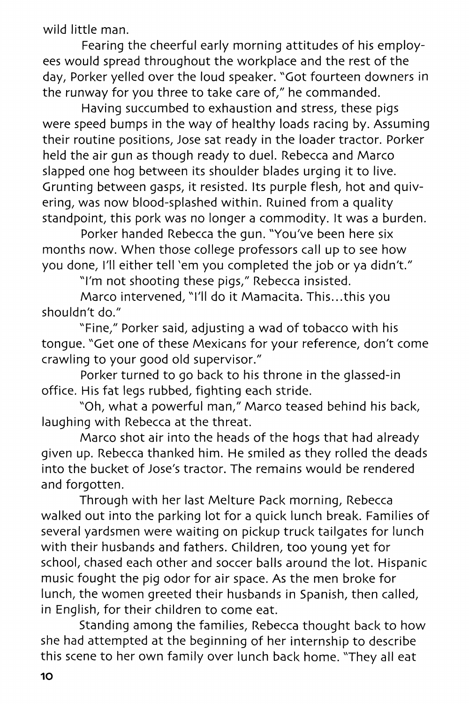wild little man.

Fearing the cheerful early morning attitudes of his employees would spread throughout the workplace and the rest of the day, Porker yelled over the loud speaker. "Got fourteen downers in the runway for you three to take care of," he commanded.

Having succumbed to exhaustion and stress, these pigs were speed bumps in the way of healthy loads racing by. Assuming their routine positions, Jose sat ready in the loader tractor. Porker held the air gun as though ready to duel. Rebecca and Marco slapped one hog between its shoulder blades urging it to live. Grunting between gasps, it resisted. Its purple flesh, hot and quivering, was now blood-splashed within. Ruined from a quality standpoint, this pork was no longer a commodity. It was a burden.

Porker handed Rebecca the gun. "You've been here six months now. When those college professors call up to see how you done, I'll either tell 'em you completed the job or ya didn't."

"I'm not shooting these pigs," Rebecca insisted.

Marco intervened, "I'll do it Mamacita. This...this you shouldn't do."

"Fine," Porker said, adjusting a wad of tobacco with his tongue. "Get one of these Mexicans for your reference, don't come crawling to your good old supervisor."

Porker turned to go back to his throne in the glassed-in office. His fat legs rubbed, fighting each stride.

"Oh, what a powerful man," Marco teased behind his back, laughing with Rebecca at the threat.

Marco shot air into the heads of the hogs that had already given up. Rebecca thanked him. He smiled as they rolled the deads into the bucket of Jose's tractor. The remains would be rendered and forgotten.

Through with her last Melture Pack morning, Rebecca walked out into the parking lot for a quick lunch break. Families of several yardsmen were waiting on pickup truck tailgates for lunch with their husbands and fathers. Children, too young yet for school, chased each other and soccer balls around the lot. Hispanic music fought the pig odor for air space. As the men broke for lunch, the women greeted their husbands in Spanish, then called, in English, for their children to come eat.

Standing among the families, Rebecca thought back to how she had attempted at the beginning of her internship to describe this scene to her own family over lunch back home. "They all eat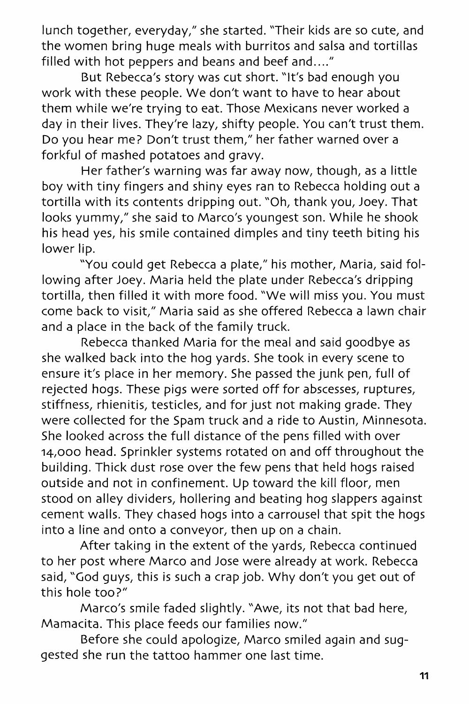lunch together, everyday," she started. "Their kids are so cute, and the women bring huge meals with burritos and salsa and tortillas filled with hot peppers and beans and beef and...."

But Rebecca's story was cut short. "It's bad enough you work with these people. We don't want to have to hear about them while we're trying to eat. Those Mexicans never worked a day in their lives. They're lazy, shifty people. You can't trust them. Do you hear me? Don't trust them," her father warned over a forkful of mashed potatoes and gravy.

Her father's warning was far away now, though, as a little boy with tiny fingers and shiny eyes ran to Rebecca holding out a tortilla with its contents dripping out. "Oh, thank you, Joey. That looks yummy," she said to Marco's youngest son. While he shook his head yes, his smile contained dimples and tiny teeth biting his lower lip.

"You could get Rebecca a plate," his mother, Maria, said following after Joey. Maria held the plate under Rebecca's dripping tortilla, then filled it with more food. "We will miss you. You must come back to visit," Maria said as she offered Rebecca a lawn chair and a place in the back of the family truck.

Rebecca thanked Maria for the meal and said goodbye as she walked back into the hog yards. She took in every scene to ensure it's place in her memory. She passed the junk pen, full of rejected hogs. These pigs were sorted off for abscesses, ruptures, stiffness, rhienitis, testicles, and for just not making grade. They were collected for the Spam truck and a ride to Austin, Minnesota. She looked across the full distance of the pens filled with over 14,000 head. Sprinkler systems rotated on and off throughout the building. Thick dust rose over the few pens that held hogs raised outside and not in confinement. Up toward the kill floor, men stood on alley dividers, hollering and beating hog slappers against cement walls. They chased hogs into a carrousel that spit the hogs into a line and onto a conveyor, then up on a chain.

After taking in the extent of the yards, Rebecca continued to her post where Marco and Jose were already at work. Rebecca said, "God guys, this is such a crap job. Why don't you get out of this hole too?"

Marco's smile faded slightly. "Awe, its not that bad here, Mamacita. This place feeds our families now."

Before she could apologize, Marco smiled again and suggested she run the tattoo hammer one last time.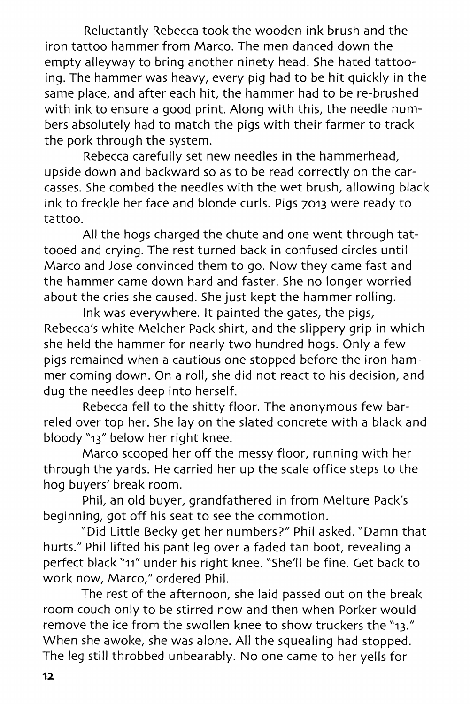Reluctantly Rebecca took the wooden ink brush and the iron tattoo hammer from Marco. The men danced down the empty alleyway to bring another ninety head. She hated tattooing. The hammer was heavy, every pig had to be hit quickly in the same place, and after each hit, the hammer had to be re-brushed with ink to ensure a good print. Along with this, the needle numbers absolutely had to match the pigs with their farmer to track the pork through the system.

Rebecca carefully set new needles in the hammerhead, upside down and backward so as to be read correctly on the carcasses. She combed the needles with the wet brush, allowing black ink to freckle her face and blonde curls. Pigs 7013 were ready to tattoo.

All the hogs charged the chute and one went through tattooed and crying. The rest turned back in confused circles until Marco and Jose convinced them to go. Now they came fast and the hammer came down hard and faster. She no longer worried about the cries she caused. She just kept the hammer rolling.

Ink was everywhere. It painted the gates, the pigs, Rebecca's white Melcher Pack shirt, and the slippery grip in which she held the hammer for nearly two hundred hogs. Only a few pigs remained when a cautious one stopped before the iron hammer coming down. On a roll, she did not react to his decision, and dug the needles deep into herself.

Rebecca fell to the shitty floor. The anonymous few barreled over top her. She lay on the slated concrete with a black and bloody "13" below her right knee.

Marco scooped her off the messy floor, running with her through the yards. He carried her up the scale office steps to the hog buyers' break room.

Phil, an old buyer, grandfathered in from Melture Pack's beginning, got off his seat to see the commotion.

"Did Little Becky get her numbers?" Phil asked. "Damn that hurts." Phil lifted his pant leg over a faded tan boot, revealing a perfect black "11" under his right knee. "She'll be fine. Get back to work now, Marco," ordered Phil.

The rest of the afternoon, she laid passed out on the break room couch only to be stirred now and then when Porker would remove the ice from the swollen knee to show truckers the "13." When she awoke, she was alone. All the squealing had stopped. The leg still throbbed unbearably. No one came to her yells for